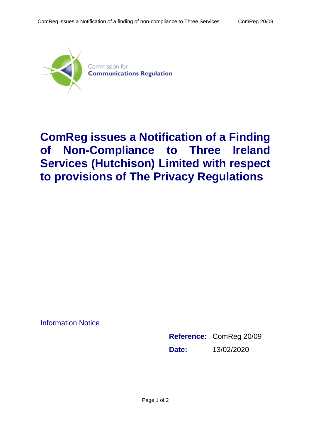

## **ComReg issues a Notification of a Finding of Non-Compliance to Three Ireland Services (Hutchison) Limited with respect to provisions of The Privacy Regulations**

Information Notice

**Reference:** ComReg 20/09 **Date:** 13/02/2020